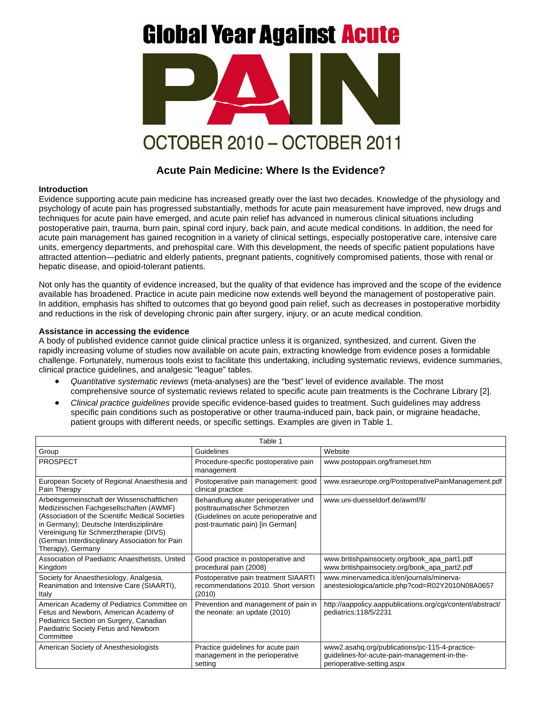# **Global Year Against Acute**



## **Acute Pain Medicine: Where Is the Evidence?**

#### **Introduction**

Evidence supporting acute pain medicine has increased greatly over the last two decades. Knowledge of the physiology and psychology of acute pain has progressed substantially, methods for acute pain measurement have improved, new drugs and techniques for acute pain have emerged, and acute pain relief has advanced in numerous clinical situations including postoperative pain, trauma, burn pain, spinal cord injury, back pain, and acute medical conditions. In addition, the need for acute pain management has gained recognition in a variety of clinical settings, especially postoperative care, intensive care units, emergency departments, and prehospital care. With this development, the needs of specific patient populations have attracted attention—pediatric and elderly patients, pregnant patients, cognitively compromised patients, those with renal or hepatic disease, and opioid-tolerant patients.

Not only has the quantity of evidence increased, but the quality of that evidence has improved and the scope of the evidence available has broadened. Practice in acute pain medicine now extends well beyond the management of postoperative pain. In addition, emphasis has shifted to outcomes that go beyond good pain relief, such as decreases in postoperative morbidity and reductions in the risk of developing chronic pain after surgery, injury, or an acute medical condition.

### **Assistance in accessing the evidence**

A body of published evidence cannot guide clinical practice unless it is organized, synthesized, and current. Given the rapidly increasing volume of studies now available on acute pain, extracting knowledge from evidence poses a formidable challenge. Fortunately, numerous tools exist to facilitate this undertaking, including systematic reviews, evidence summaries, clinical practice guidelines, and analgesic "league" tables.

- *Quantitative systematic reviews* (meta-analyses) are the "best" level of evidence available. The most comprehensive source of systematic reviews related to specific acute pain treatments is the Cochrane Library [2].
- *Clinical practice guidelines* provide specific evidence-based guides to treatment. Such guidelines may address specific pain conditions such as postoperative or other trauma-induced pain, back pain, or migraine headache, patient groups with different needs, or specific settings. Examples are given in Table 1.

| Table 1                                                                                                                                                                                                                                                                                               |                                                                                                                                                   |                                                                                                                              |
|-------------------------------------------------------------------------------------------------------------------------------------------------------------------------------------------------------------------------------------------------------------------------------------------------------|---------------------------------------------------------------------------------------------------------------------------------------------------|------------------------------------------------------------------------------------------------------------------------------|
| Group                                                                                                                                                                                                                                                                                                 | Guidelines                                                                                                                                        | Website                                                                                                                      |
| <b>PROSPECT</b>                                                                                                                                                                                                                                                                                       | Procedure-specific postoperative pain<br>management                                                                                               | www.postoppain.org/frameset.htm                                                                                              |
| European Society of Regional Anaesthesia and<br>Pain Therapy                                                                                                                                                                                                                                          | Postoperative pain management: good<br>clinical practice                                                                                          | www.esraeurope.org/PostoperativePainManagement.pdf                                                                           |
| Arbeitsgemeinschaft der Wissenschaftlichen<br>Medizinischen Fachgesellschaften (AWMF)<br>(Association of the Scientific Medical Societies<br>in Germany); Deutsche Interdisziplinäre<br>Vereinigung für Schmerztherapie (DIVS)<br>(German Interdisciplinary Association for Pain<br>Therapy), Germany | Behandlung akuter perioperativer und<br>posttraumatischer Schmerzen<br>(Guidelines on acute perioperative and<br>post-traumatic pain) [in German] | www.uni-duesseldorf.de/awmf/ll/                                                                                              |
| Association of Paediatric Anaesthetists, United<br>Kingdom                                                                                                                                                                                                                                            | Good practice in postoperative and<br>procedural pain (2008)                                                                                      | www.britishpainsociety.org/book_apa_part1.pdf<br>www.britishpainsociety.org/book_apa_part2.pdf                               |
| Society for Anaesthesiology, Analgesia,<br>Reanimation and Intensive Care (SIAARTI),<br>Italy                                                                                                                                                                                                         | Postoperative pain treatment SIAARTI<br>recommendations 2010. Short version<br>(2010)                                                             | www.minervamedica.it/en/journals/minerva-<br>anestesiologica/article.php?cod=R02Y2010N08A0657                                |
| American Academy of Pediatrics Committee on<br>Fetus and Newborn, American Academy of<br>Pediatrics Section on Surgery, Canadian<br>Paediatric Society Fetus and Newborn<br>Committee                                                                                                                 | Prevention and management of pain in<br>the neonate: an update (2010)                                                                             | http://aappolicy.aappublications.org/cgi/content/abstract/<br>pediatrics; 118/5/2231                                         |
| American Society of Anesthesiologists                                                                                                                                                                                                                                                                 | Practice guidelines for acute pain<br>management in the perioperative<br>setting                                                                  | www2.asahq.org/publications/pc-115-4-practice-<br>guidelines-for-acute-pain-management-in-the-<br>perioperative-setting.aspx |